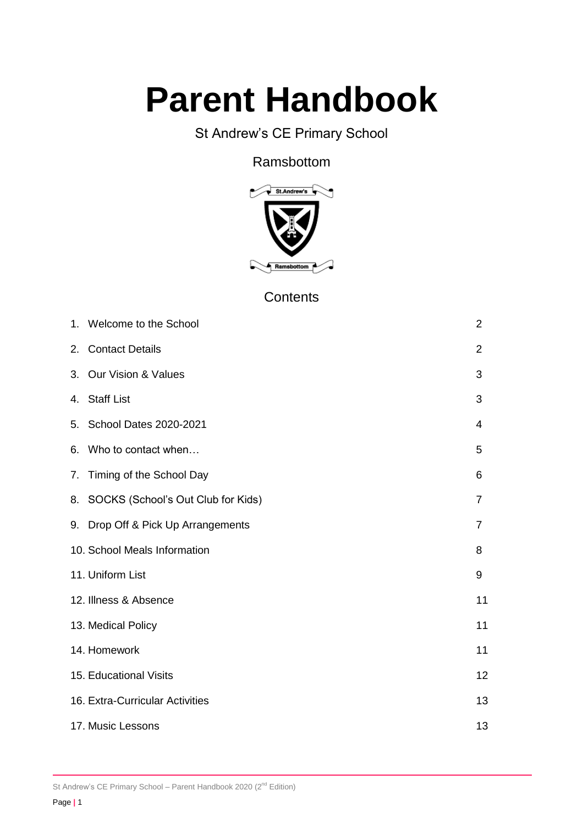# **Parent Handbook**

# St Andrew's CE Primary School

## Ramsbottom



# **Contents**

| 1. Welcome to the School              | $\overline{2}$ |
|---------------------------------------|----------------|
| 2. Contact Details                    | $\overline{2}$ |
| 3. Our Vision & Values                | 3              |
| 4. Staff List                         | 3              |
| 5. School Dates 2020-2021             | 4              |
| 6. Who to contact when                | 5              |
| 7. Timing of the School Day           | 6              |
| 8. SOCKS (School's Out Club for Kids) | $\overline{7}$ |
| 9. Drop Off & Pick Up Arrangements    | 7              |
| 10. School Meals Information          | 8              |
| 11. Uniform List                      | 9              |
| 12. Illness & Absence                 | 11             |
| 13. Medical Policy                    | 11             |
| 14. Homework                          | 11             |
| 15. Educational Visits                | 12             |
| 16. Extra-Curricular Activities       | 13             |
| 17. Music Lessons                     | 13             |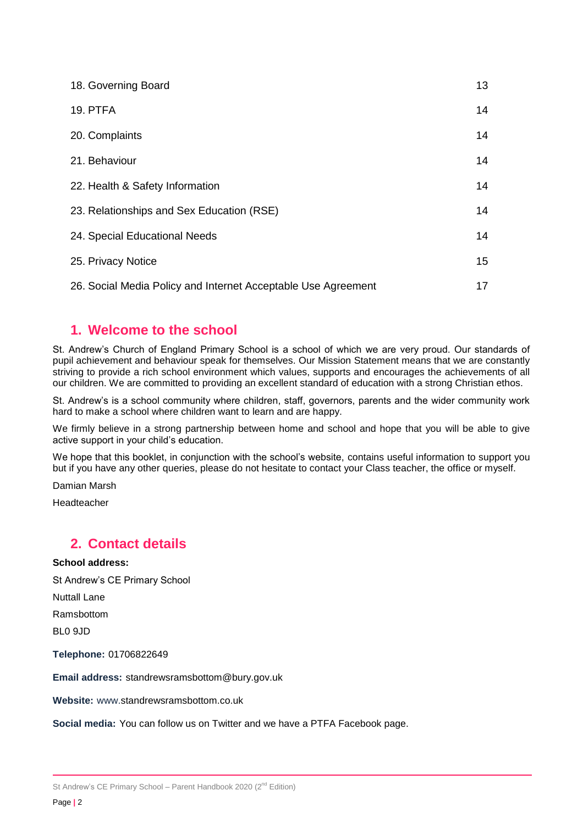| 18. Governing Board                                           | 13 |
|---------------------------------------------------------------|----|
| <b>19. PTFA</b>                                               | 14 |
| 20. Complaints                                                | 14 |
| 21. Behaviour                                                 | 14 |
| 22. Health & Safety Information                               | 14 |
| 23. Relationships and Sex Education (RSE)                     | 14 |
| 24. Special Educational Needs                                 | 14 |
| 25. Privacy Notice                                            | 15 |
| 26. Social Media Policy and Internet Acceptable Use Agreement | 17 |

## **1. Welcome to the school**

St. Andrew's Church of England Primary School is a school of which we are very proud. Our standards of pupil achievement and behaviour speak for themselves. Our Mission Statement means that we are constantly striving to provide a rich school environment which values, supports and encourages the achievements of all our children. We are committed to providing an excellent standard of education with a strong Christian ethos.

St. Andrew's is a school community where children, staff, governors, parents and the wider community work hard to make a school where children want to learn and are happy.

We firmly believe in a strong partnership between home and school and hope that you will be able to give active support in your child's education.

We hope that this booklet, in conjunction with the school's website, contains useful information to support you but if you have any other queries, please do not hesitate to contact your Class teacher, the office or myself.

Damian Marsh

Headteacher

## **2. Contact details**

#### **School address:**

St Andrew's CE Primary School

Nuttall Lane

Ramsbottom

BL0 9JD

**Telephone:** 01706822649

**Email address:** standrewsramsbottom@bury.gov.uk

**Website:** www.standrewsramsbottom.co.uk

**Social media:** You can follow us on Twitter and we have a PTFA Facebook page.

St Andrew's CE Primary School - Parent Handbook 2020  $(2^{nd}$  Edition)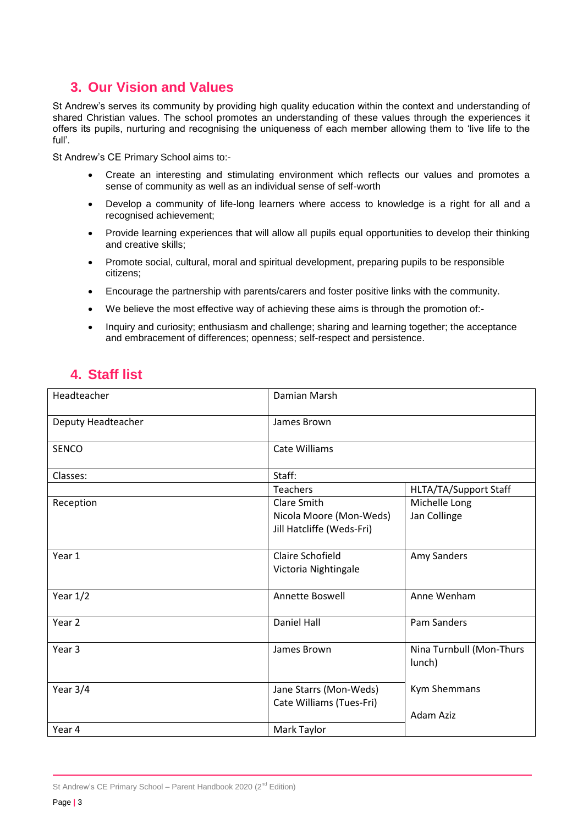# **3. Our Vision and Values**

St Andrew's serves its community by providing high quality education within the context and understanding of shared Christian values. The school promotes an understanding of these values through the experiences it offers its pupils, nurturing and recognising the uniqueness of each member allowing them to 'live life to the full'.

St Andrew's CE Primary School aims to:-

- Create an interesting and stimulating environment which reflects our values and promotes a sense of community as well as an individual sense of self-worth
- Develop a community of life-long learners where access to knowledge is a right for all and a recognised achievement;
- Provide learning experiences that will allow all pupils equal opportunities to develop their thinking and creative skills;
- Promote social, cultural, moral and spiritual development, preparing pupils to be responsible citizens;
- Encourage the partnership with parents/carers and foster positive links with the community.
- We believe the most effective way of achieving these aims is through the promotion of:-
- Inquiry and curiosity; enthusiasm and challenge; sharing and learning together; the acceptance and embracement of differences; openness; self-respect and persistence.

## **4. Staff list**

| Headteacher        | Damian Marsh              |                                    |
|--------------------|---------------------------|------------------------------------|
| Deputy Headteacher | James Brown               |                                    |
| <b>SENCO</b>       | <b>Cate Williams</b>      |                                    |
| Classes:           | Staff:                    |                                    |
|                    | Teachers                  | HLTA/TA/Support Staff              |
| Reception          | Clare Smith               | Michelle Long                      |
|                    | Nicola Moore (Mon-Weds)   | Jan Collinge                       |
|                    | Jill Hatcliffe (Weds-Fri) |                                    |
| Year 1             | Claire Schofield          | Amy Sanders                        |
|                    | Victoria Nightingale      |                                    |
| Year $1/2$         | Annette Boswell           | Anne Wenham                        |
| Year <sub>2</sub>  | Daniel Hall               | <b>Pam Sanders</b>                 |
| Year <sub>3</sub>  | James Brown               | Nina Turnbull (Mon-Thurs<br>lunch) |
| Year 3/4           | Jane Starrs (Mon-Weds)    | Kym Shemmans                       |
|                    | Cate Williams (Tues-Fri)  |                                    |
|                    |                           | <b>Adam Aziz</b>                   |
| Year 4             | Mark Taylor               |                                    |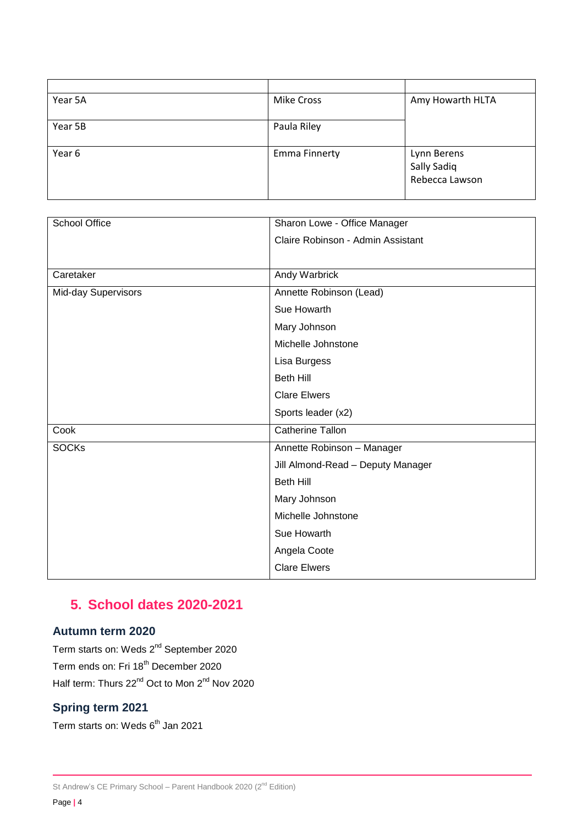| Year 5A | <b>Mike Cross</b>    | Amy Howarth HLTA                             |
|---------|----------------------|----------------------------------------------|
| Year 5B | Paula Riley          |                                              |
| Year 6  | <b>Emma Finnerty</b> | Lynn Berens<br>Sally Sadiq<br>Rebecca Lawson |

| School Office       | Sharon Lowe - Office Manager      |
|---------------------|-----------------------------------|
|                     | Claire Robinson - Admin Assistant |
|                     |                                   |
| Caretaker           | Andy Warbrick                     |
| Mid-day Supervisors | Annette Robinson (Lead)           |
|                     | Sue Howarth                       |
|                     | Mary Johnson                      |
|                     | Michelle Johnstone                |
|                     | Lisa Burgess                      |
|                     | <b>Beth Hill</b>                  |
|                     | <b>Clare Elwers</b>               |
|                     | Sports leader (x2)                |
| Cook                | <b>Catherine Tallon</b>           |
| <b>SOCKs</b>        | Annette Robinson - Manager        |
|                     | Jill Almond-Read - Deputy Manager |
|                     | <b>Beth Hill</b>                  |
|                     | Mary Johnson                      |
|                     | Michelle Johnstone                |
|                     | Sue Howarth                       |
|                     | Angela Coote                      |
|                     | <b>Clare Elwers</b>               |

# **5. School dates 2020-2021**

## **Autumn term 2020**

Term starts on: Weds 2<sup>nd</sup> September 2020 Term ends on: Fri 18<sup>th</sup> December 2020 Half term: Thurs 22<sup>nd</sup> Oct to Mon 2<sup>nd</sup> Nov 2020

## **Spring term 2021**

Term starts on: Weds 6<sup>th</sup> Jan 2021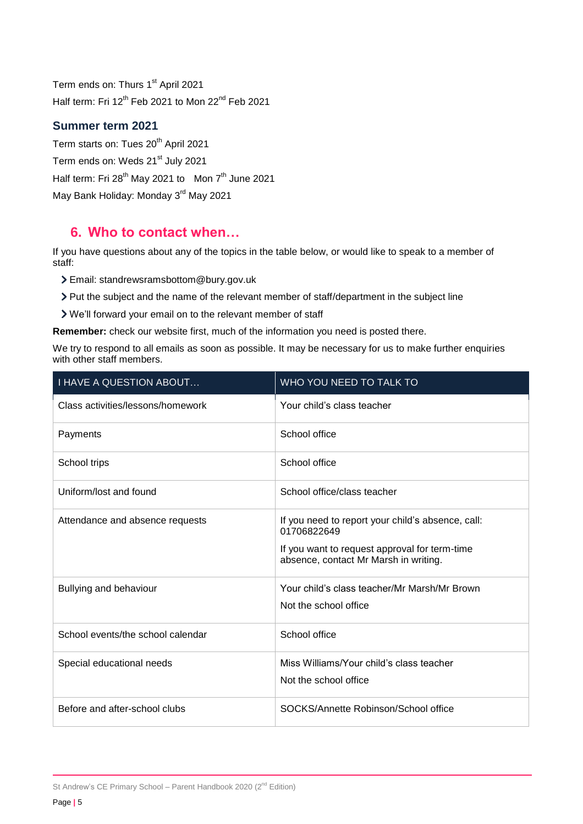Term ends on: Thurs 1<sup>st</sup> April 2021 Half term: Fri 12<sup>th</sup> Feb 2021 to Mon 22<sup>nd</sup> Feb 2021

#### **Summer term 2021**

Term starts on: Tues 20<sup>th</sup> April 2021 Term ends on: Weds 21<sup>st</sup> July 2021 Half term: Fri 28<sup>th</sup> May 2021 to Mon 7<sup>th</sup> June 2021 May Bank Holiday: Monday 3<sup>rd</sup> May 2021

## **6. Who to contact when…**

If you have questions about any of the topics in the table below, or would like to speak to a member of staff:

Email: standrewsramsbottom@bury.gov.uk

Put the subject and the name of the relevant member of staff/department in the subject line

We'll forward your email on to the relevant member of staff

**Remember:** check our website first, much of the information you need is posted there.

We try to respond to all emails as soon as possible. It may be necessary for us to make further enquiries with other staff members.

| <b>I HAVE A QUESTION ABOUT</b>    | WHO YOU NEED TO TALK TO                                                                                                                                    |
|-----------------------------------|------------------------------------------------------------------------------------------------------------------------------------------------------------|
| Class activities/lessons/homework | Your child's class teacher                                                                                                                                 |
| Payments                          | School office                                                                                                                                              |
| School trips                      | School office                                                                                                                                              |
| Uniform/lost and found            | School office/class teacher                                                                                                                                |
| Attendance and absence requests   | If you need to report your child's absence, call:<br>01706822649<br>If you want to request approval for term-time<br>absence, contact Mr Marsh in writing. |
| Bullying and behaviour            | Your child's class teacher/Mr Marsh/Mr Brown<br>Not the school office                                                                                      |
| School events/the school calendar | School office                                                                                                                                              |
| Special educational needs         | Miss Williams/Your child's class teacher<br>Not the school office                                                                                          |
| Before and after-school clubs     | SOCKS/Annette Robinson/School office                                                                                                                       |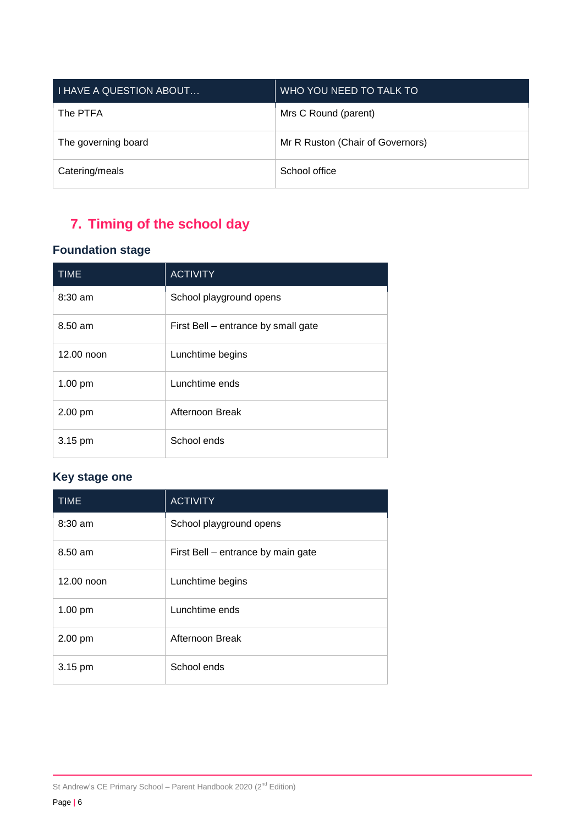| <b>I HAVE A QUESTION ABOUT</b> | WHO YOU NEED TO TALK TO          |
|--------------------------------|----------------------------------|
| The PTFA                       | Mrs C Round (parent)             |
| The governing board            | Mr R Ruston (Chair of Governors) |
| Catering/meals                 | School office                    |

# **7. Timing of the school day**

## **Foundation stage**

| <b>TIME</b> | <b>ACTIVITY</b>                     |
|-------------|-------------------------------------|
| 8:30 am     | School playground opens             |
| $8.50$ am   | First Bell – entrance by small gate |
| 12.00 noon  | Lunchtime begins                    |
| 1.00 pm     | Lunchtime ends                      |
| 2.00 pm     | Afternoon Break                     |
| 3.15 pm     | School ends                         |

## **Key stage one**

| <b>TIME</b> | <b>ACTIVITY</b>                    |
|-------------|------------------------------------|
| $8:30$ am   | School playground opens            |
| 8.50 am     | First Bell – entrance by main gate |
| 12.00 noon  | Lunchtime begins                   |
| 1.00 pm     | Lunchtime ends                     |
| 2.00 pm     | Afternoon Break                    |
| 3.15 pm     | School ends                        |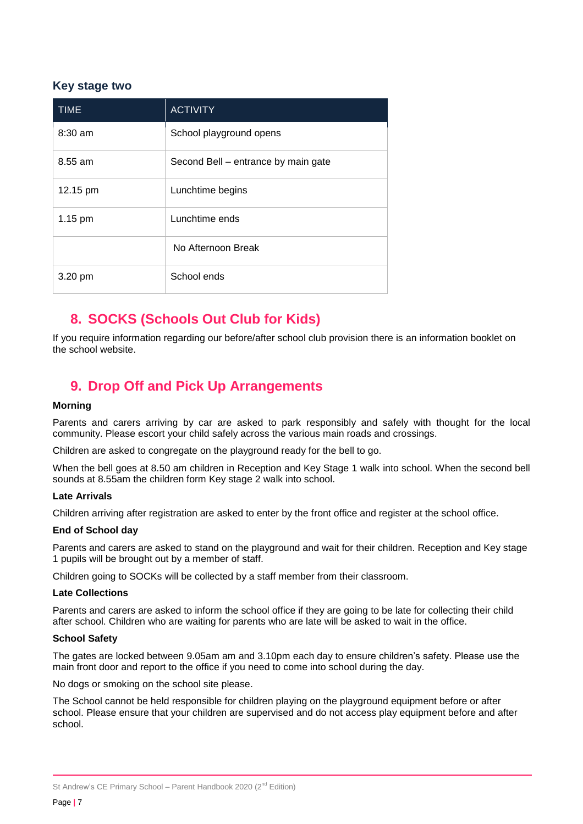#### **Key stage two**

| <b>TIME</b> | <b>ACTIVITY</b>                     |
|-------------|-------------------------------------|
| $8:30$ am   | School playground opens             |
| 8.55 am     | Second Bell – entrance by main gate |
| 12.15 pm    | Lunchtime begins                    |
| $1.15$ pm   | Lunchtime ends                      |
|             | No Afternoon Break                  |
| 3.20 pm     | School ends                         |

# **8. SOCKS (Schools Out Club for Kids)**

If you require information regarding our before/after school club provision there is an information booklet on the school website.

# **9. Drop Off and Pick Up Arrangements**

#### **Morning**

Parents and carers arriving by car are asked to park responsibly and safely with thought for the local community. Please escort your child safely across the various main roads and crossings.

Children are asked to congregate on the playground ready for the bell to go.

When the bell goes at 8.50 am children in Reception and Key Stage 1 walk into school. When the second bell sounds at 8.55am the children form Key stage 2 walk into school.

#### **Late Arrivals**

Children arriving after registration are asked to enter by the front office and register at the school office.

#### **End of School day**

Parents and carers are asked to stand on the playground and wait for their children. Reception and Key stage 1 pupils will be brought out by a member of staff.

Children going to SOCKs will be collected by a staff member from their classroom.

#### **Late Collections**

Parents and carers are asked to inform the school office if they are going to be late for collecting their child after school. Children who are waiting for parents who are late will be asked to wait in the office.

#### **School Safety**

The gates are locked between 9.05am am and 3.10pm each day to ensure children's safety. Please use the main front door and report to the office if you need to come into school during the day.

No dogs or smoking on the school site please.

The School cannot be held responsible for children playing on the playground equipment before or after school. Please ensure that your children are supervised and do not access play equipment before and after school.

St Andrew's CE Primary School - Parent Handbook 2020  $(2^{nd}$  Edition)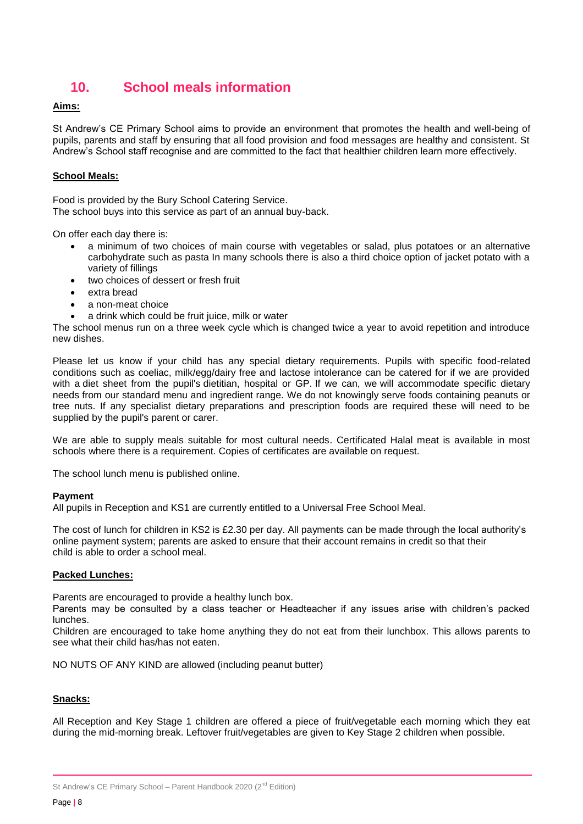# **10. School meals information**

#### **Aims:**

St Andrew's CE Primary School aims to provide an environment that promotes the health and well-being of pupils, parents and staff by ensuring that all food provision and food messages are healthy and consistent. St Andrew's School staff recognise and are committed to the fact that healthier children learn more effectively.

#### **School Meals:**

Food is provided by the Bury School Catering Service. The school buys into this service as part of an annual buy-back.

On offer each day there is:

- a minimum of two choices of main course with vegetables or salad, plus potatoes or an alternative carbohydrate such as pasta In many schools there is also a third choice option of jacket potato with a variety of fillings
- two choices of dessert or fresh fruit
- extra bread
- a non-meat choice
- a drink which could be fruit juice, milk or water

The school menus run on a three week cycle which is changed twice a year to avoid repetition and introduce new dishes.

Please let us know if your child has any special dietary requirements. Pupils with specific food-related conditions such as coeliac, milk/egg/dairy free and lactose intolerance can be catered for if we are provided with a diet sheet from the pupil's dietitian, hospital or GP. If we can, we will accommodate specific dietary needs from our standard menu and ingredient range. We do not knowingly serve foods containing peanuts or tree nuts. If any specialist dietary preparations and prescription foods are required these will need to be supplied by the pupil's parent or carer.

We are able to supply meals suitable for most cultural needs. Certificated Halal meat is available in most schools where there is a requirement. Copies of certificates are available on request.

The school lunch menu is published online.

#### **Payment**

All pupils in Reception and KS1 are currently entitled to a Universal Free School Meal.

The cost of lunch for children in KS2 is £2.30 per day. All payments can be made through the local authority's online payment system; parents are asked to ensure that their account remains in credit so that their child is able to order a school meal.

#### **Packed Lunches:**

Parents are encouraged to provide a healthy lunch box.

Parents may be consulted by a class teacher or Headteacher if any issues arise with children's packed lunches.

Children are encouraged to take home anything they do not eat from their lunchbox. This allows parents to see what their child has/has not eaten.

NO NUTS OF ANY KIND are allowed (including peanut butter)

#### **Snacks:**

All Reception and Key Stage 1 children are offered a piece of fruit/vegetable each morning which they eat during the mid-morning break. Leftover fruit/vegetables are given to Key Stage 2 children when possible.

St Andrew's CE Primary School - Parent Handbook 2020  $(2^{nd}$  Edition)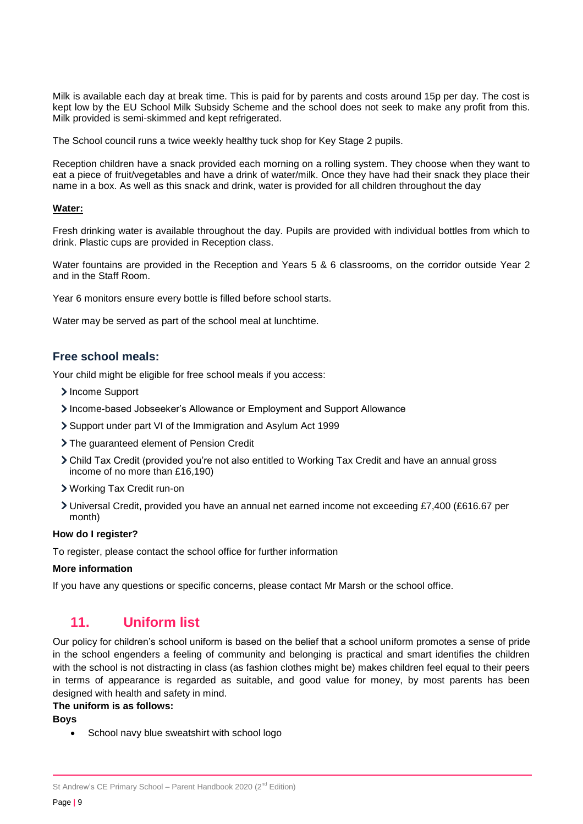Milk is available each day at break time. This is paid for by parents and costs around 15p per day. The cost is kept low by the EU School Milk Subsidy Scheme and the school does not seek to make any profit from this. Milk provided is semi-skimmed and kept refrigerated.

The School council runs a twice weekly healthy tuck shop for Key Stage 2 pupils.

Reception children have a snack provided each morning on a rolling system. They choose when they want to eat a piece of fruit/vegetables and have a drink of water/milk. Once they have had their snack they place their name in a box. As well as this snack and drink, water is provided for all children throughout the day

#### **Water:**

Fresh drinking water is available throughout the day. Pupils are provided with individual bottles from which to drink. Plastic cups are provided in Reception class.

Water fountains are provided in the Reception and Years 5 & 6 classrooms, on the corridor outside Year 2 and in the Staff Room.

Year 6 monitors ensure every bottle is filled before school starts.

Water may be served as part of the school meal at lunchtime.

#### **Free school meals:**

Your child might be eligible for free school meals if you access:

- > Income Support
- Income-based Jobseeker's Allowance or Employment and Support Allowance
- Support under part VI of the Immigration and Asylum Act 1999
- > The guaranteed element of Pension Credit
- Child Tax Credit (provided you're not also entitled to Working Tax Credit and have an annual gross income of no more than £16,190)
- Working Tax Credit run-on
- Universal Credit, provided you have an annual net earned income not exceeding £7,400 (£616.67 per month)

#### **How do I register?**

To register, please contact the school office for further information

#### **More information**

If you have any questions or specific concerns, please contact Mr Marsh or the school office.

## **11. Uniform list**

Our policy for children's school uniform is based on the belief that a school uniform promotes a sense of pride in the school engenders a feeling of community and belonging is practical and smart identifies the children with the school is not distracting in class (as fashion clothes might be) makes children feel equal to their peers in terms of appearance is regarded as suitable, and good value for money, by most parents has been designed with health and safety in mind.

#### **The uniform is as follows:**

**Boys**

School navy blue sweatshirt with school logo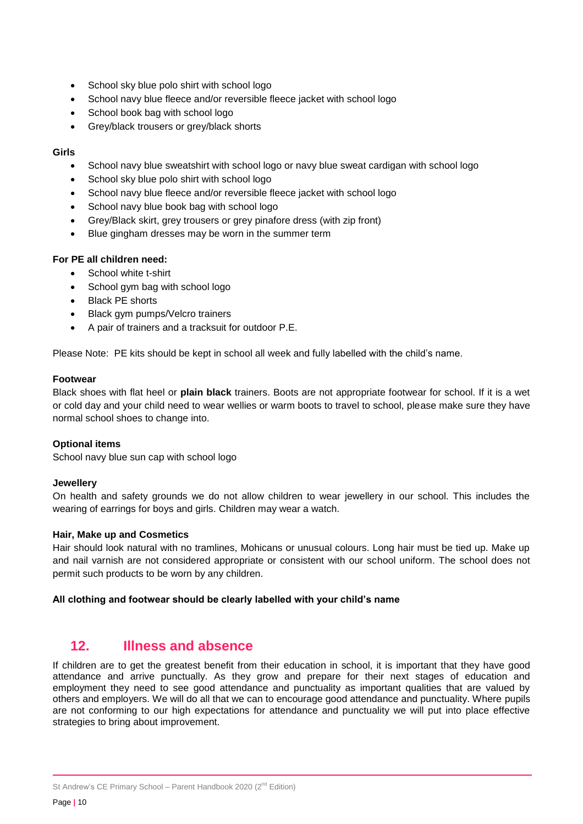- School sky blue polo shirt with school logo
- School navy blue fleece and/or reversible fleece jacket with school logo
- School book bag with school logo
- Grey/black trousers or grey/black shorts

#### **Girls**

- School navy blue sweatshirt with school logo or navy blue sweat cardigan with school logo
- School sky blue polo shirt with school logo
- School navy blue fleece and/or reversible fleece jacket with school logo
- School navy blue book bag with school logo
- Grey/Black skirt, grey trousers or grey pinafore dress (with zip front)
- Blue gingham dresses may be worn in the summer term

#### **For PE all children need:**

- School white t-shirt
- School gym bag with school logo
- Black PE shorts
- Black gym pumps/Velcro trainers
- A pair of trainers and a tracksuit for outdoor P.E.

Please Note: PE kits should be kept in school all week and fully labelled with the child's name.

#### **Footwear**

Black shoes with flat heel or **plain black** trainers. Boots are not appropriate footwear for school. If it is a wet or cold day and your child need to wear wellies or warm boots to travel to school, please make sure they have normal school shoes to change into.

#### **Optional items**

School navy blue sun cap with school logo

#### **Jewellery**

On health and safety grounds we do not allow children to wear jewellery in our school. This includes the wearing of earrings for boys and girls. Children may wear a watch.

#### **Hair, Make up and Cosmetics**

Hair should look natural with no tramlines, Mohicans or unusual colours. Long hair must be tied up. Make up and nail varnish are not considered appropriate or consistent with our school uniform. The school does not permit such products to be worn by any children.

#### **All clothing and footwear should be clearly labelled with your child's name**

#### **12. Illness and absence**

If children are to get the greatest benefit from their education in school, it is important that they have good attendance and arrive punctually. As they grow and prepare for their next stages of education and employment they need to see good attendance and punctuality as important qualities that are valued by others and employers. We will do all that we can to encourage good attendance and punctuality. Where pupils are not conforming to our high expectations for attendance and punctuality we will put into place effective strategies to bring about improvement.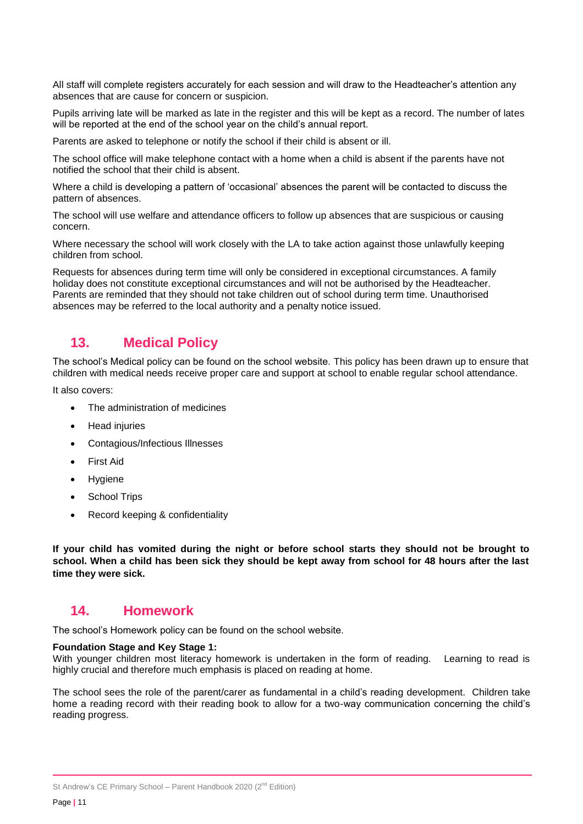All staff will complete registers accurately for each session and will draw to the Headteacher's attention any absences that are cause for concern or suspicion.

Pupils arriving late will be marked as late in the register and this will be kept as a record. The number of lates will be reported at the end of the school year on the child's annual report.

Parents are asked to telephone or notify the school if their child is absent or ill.

The school office will make telephone contact with a home when a child is absent if the parents have not notified the school that their child is absent.

Where a child is developing a pattern of 'occasional' absences the parent will be contacted to discuss the pattern of absences.

The school will use welfare and attendance officers to follow up absences that are suspicious or causing concern.

Where necessary the school will work closely with the LA to take action against those unlawfully keeping children from school.

Requests for absences during term time will only be considered in exceptional circumstances. A family holiday does not constitute exceptional circumstances and will not be authorised by the Headteacher. Parents are reminded that they should not take children out of school during term time. Unauthorised absences may be referred to the local authority and a penalty notice issued.

## **13. Medical Policy**

The school's Medical policy can be found on the school website. This policy has been drawn up to ensure that children with medical needs receive proper care and support at school to enable regular school attendance.

It also covers:

- The administration of medicines
- Head injuries
- Contagious/Infectious Illnesses
- First Aid
- Hygiene
- School Trips
- Record keeping & confidentiality

**If your child has vomited during the night or before school starts they should not be brought to school. When a child has been sick they should be kept away from school for 48 hours after the last time they were sick.** 

#### **14. Homework**

The school's Homework policy can be found on the school website.

#### **Foundation Stage and Key Stage 1:**

With younger children most literacy homework is undertaken in the form of reading. Learning to read is highly crucial and therefore much emphasis is placed on reading at home.

The school sees the role of the parent/carer as fundamental in a child's reading development. Children take home a reading record with their reading book to allow for a two-way communication concerning the child's reading progress.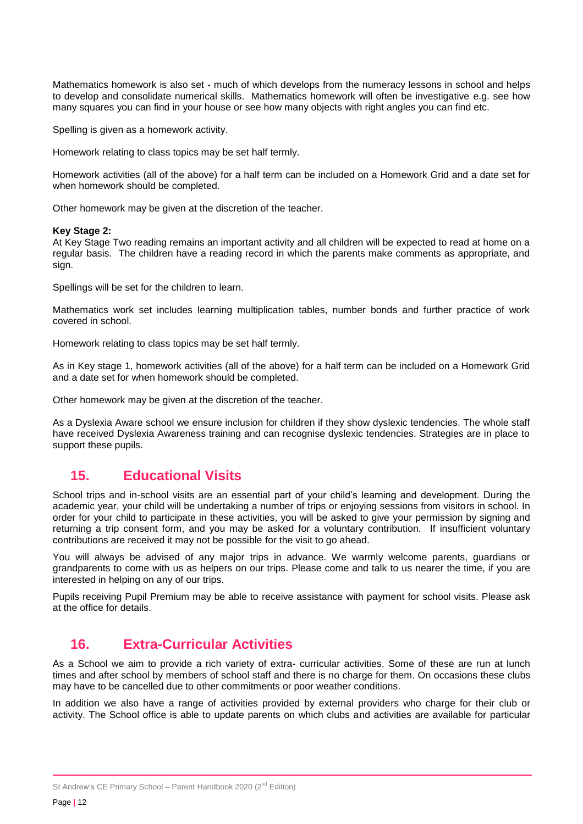Mathematics homework is also set - much of which develops from the numeracy lessons in school and helps to develop and consolidate numerical skills. Mathematics homework will often be investigative e.g. see how many squares you can find in your house or see how many objects with right angles you can find etc.

Spelling is given as a homework activity.

Homework relating to class topics may be set half termly.

Homework activities (all of the above) for a half term can be included on a Homework Grid and a date set for when homework should be completed.

Other homework may be given at the discretion of the teacher.

#### **Key Stage 2:**

At Key Stage Two reading remains an important activity and all children will be expected to read at home on a regular basis. The children have a reading record in which the parents make comments as appropriate, and sign.

Spellings will be set for the children to learn.

Mathematics work set includes learning multiplication tables, number bonds and further practice of work covered in school.

Homework relating to class topics may be set half termly.

As in Key stage 1, homework activities (all of the above) for a half term can be included on a Homework Grid and a date set for when homework should be completed.

Other homework may be given at the discretion of the teacher.

As a Dyslexia Aware school we ensure inclusion for children if they show dyslexic tendencies. The whole staff have received Dyslexia Awareness training and can recognise dyslexic tendencies. Strategies are in place to support these pupils.

## **15. Educational Visits**

School trips and in-school visits are an essential part of your child's learning and development. During the academic year, your child will be undertaking a number of trips or enjoying sessions from visitors in school. In order for your child to participate in these activities, you will be asked to give your permission by signing and returning a trip consent form, and you may be asked for a voluntary contribution. If insufficient voluntary contributions are received it may not be possible for the visit to go ahead.

You will always be advised of any major trips in advance. We warmly welcome parents, guardians or grandparents to come with us as helpers on our trips. Please come and talk to us nearer the time, if you are interested in helping on any of our trips.

Pupils receiving Pupil Premium may be able to receive assistance with payment for school visits. Please ask at the office for details.

## **16. Extra-Curricular Activities**

As a School we aim to provide a rich variety of extra- curricular activities. Some of these are run at lunch times and after school by members of school staff and there is no charge for them. On occasions these clubs may have to be cancelled due to other commitments or poor weather conditions.

In addition we also have a range of activities provided by external providers who charge for their club or activity. The School office is able to update parents on which clubs and activities are available for particular

St Andrew's CE Primary School - Parent Handbook 2020  $(2^{nd}$  Edition)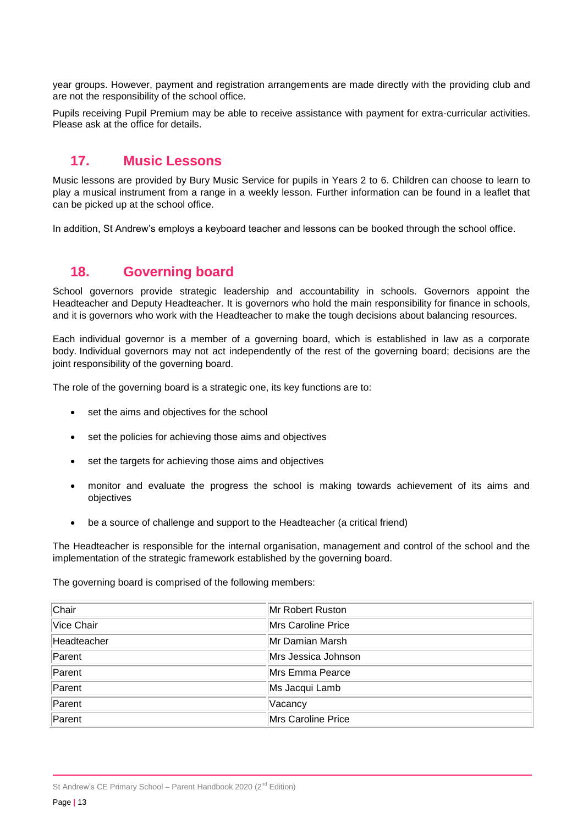year groups. However, payment and registration arrangements are made directly with the providing club and are not the responsibility of the school office.

Pupils receiving Pupil Premium may be able to receive assistance with payment for extra-curricular activities. Please ask at the office for details.

## **17. Music Lessons**

Music lessons are provided by Bury Music Service for pupils in Years 2 to 6. Children can choose to learn to play a musical instrument from a range in a weekly lesson. Further information can be found in a leaflet that can be picked up at the school office.

In addition, St Andrew's employs a keyboard teacher and lessons can be booked through the school office.

## **18. Governing board**

School governors provide strategic leadership and accountability in schools. Governors appoint the Headteacher and Deputy Headteacher. It is governors who hold the main responsibility for finance in schools, and it is governors who work with the Headteacher to make the tough decisions about balancing resources.

Each individual governor is a member of a governing board, which is established in law as a corporate body. Individual governors may not act independently of the rest of the governing board; decisions are the joint responsibility of the governing board.

The role of the governing board is a strategic one, its key functions are to:

- set the aims and objectives for the school
- set the policies for achieving those aims and objectives
- set the targets for achieving those aims and objectives
- monitor and evaluate the progress the school is making towards achievement of its aims and objectives
- be a source of challenge and support to the Headteacher (a critical friend)

The Headteacher is responsible for the internal organisation, management and control of the school and the implementation of the strategic framework established by the governing board.

The governing board is comprised of the following members:

| Chair       | Mr Robert Ruston    |
|-------------|---------------------|
| Vice Chair  | Mrs Caroline Price  |
| Headteacher | Mr Damian Marsh     |
| Parent      | Mrs Jessica Johnson |
| Parent      | Mrs Emma Pearce     |
| Parent      | Ms Jacqui Lamb      |
| Parent      | Vacancy             |
| Parent      | Mrs Caroline Price  |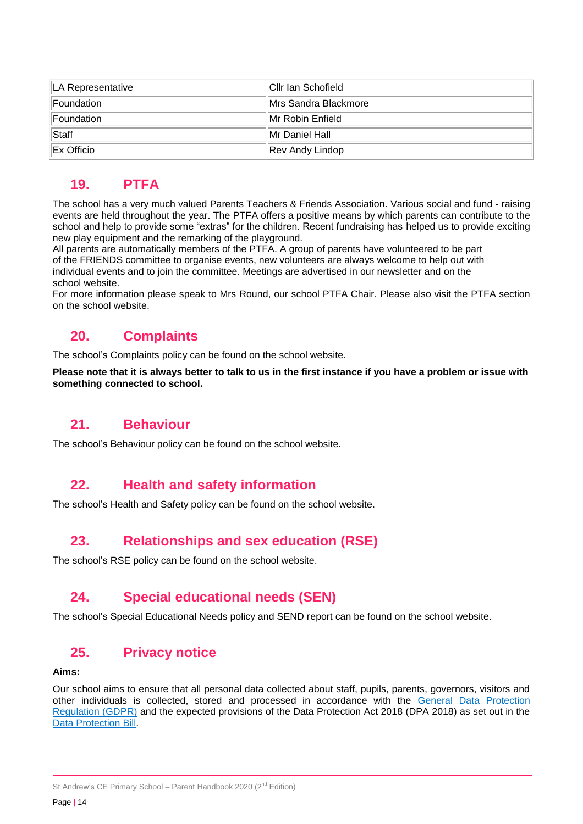| LA Representative | Cllr Ian Schofield           |
|-------------------|------------------------------|
| Foundation        | <b>IMrs Sandra Blackmore</b> |
| Foundation        | IMr Robin Enfield            |
| Staff             | IMr Daniel Hall              |
| Ex Officio        | Rev Andy Lindop              |

## **19. PTFA**

The school has a very much valued Parents Teachers & Friends Association. Various social and fund - raising events are held throughout the year. The PTFA offers a positive means by which parents can contribute to the school and help to provide some "extras" for the children. Recent fundraising has helped us to provide exciting new play equipment and the remarking of the playground.

All parents are automatically members of the PTFA. A group of parents have volunteered to be part of the FRIENDS committee to organise events, new volunteers are always welcome to help out with individual events and to join the committee. Meetings are advertised in our newsletter and on the school website.

For more information please speak to Mrs Round, our school PTFA Chair. Please also visit the PTFA section on the school website.

## **20. Complaints**

The school's Complaints policy can be found on the school website.

**Please note that it is always better to talk to us in the first instance if you have a problem or issue with something connected to school.**

## **21. Behaviour**

The school's Behaviour policy can be found on the school website.

## **22. Health and safety information**

The school's Health and Safety policy can be found on the school website.

# **23. Relationships and sex education (RSE)**

The school's RSE policy can be found on the school website.

# **24. Special educational needs (SEN)**

The school's Special Educational Needs policy and SEND report can be found on the school website.

## **25. Privacy notice**

#### **Aims:**

Our school aims to ensure that all personal data collected about staff, pupils, parents, governors, visitors and other individuals is collected, stored and processed in accordance with the [General Data Protection](http://data.consilium.europa.eu/doc/document/ST-5419-2016-INIT/en/pdf)  [Regulation \(GDPR\)](http://data.consilium.europa.eu/doc/document/ST-5419-2016-INIT/en/pdf) and the expected provisions of the Data Protection Act 2018 (DPA 2018) as set out in the [Data Protection Bill.](https://publications.parliament.uk/pa/bills/cbill/2017-2019/0153/18153.pdf)

St Andrew's CE Primary School - Parent Handbook 2020  $(2^{nd}$  Edition)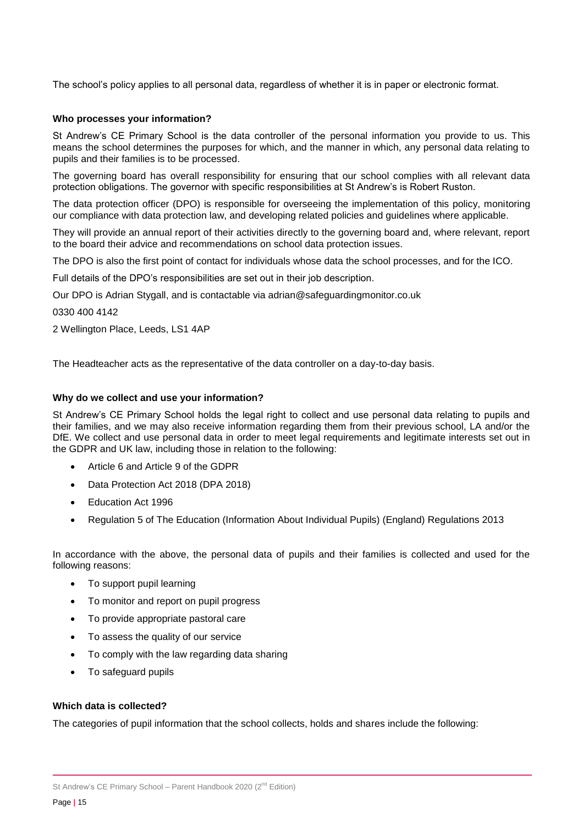The school's policy applies to all personal data, regardless of whether it is in paper or electronic format.

#### **Who processes your information?**

St Andrew's CE Primary School is the data controller of the personal information you provide to us. This means the school determines the purposes for which, and the manner in which, any personal data relating to pupils and their families is to be processed.

The governing board has overall responsibility for ensuring that our school complies with all relevant data protection obligations. The governor with specific responsibilities at St Andrew's is Robert Ruston.

The data protection officer (DPO) is responsible for overseeing the implementation of this policy, monitoring our compliance with data protection law, and developing related policies and guidelines where applicable.

They will provide an annual report of their activities directly to the governing board and, where relevant, report to the board their advice and recommendations on school data protection issues.

The DPO is also the first point of contact for individuals whose data the school processes, and for the ICO.

Full details of the DPO's responsibilities are set out in their job description.

Our DPO is Adrian Stygall, and is contactable via adrian@safeguardingmonitor.co.uk

0330 400 4142

2 Wellington Place, Leeds, LS1 4AP

The Headteacher acts as the representative of the data controller on a day-to-day basis.

#### **Why do we collect and use your information?**

St Andrew's CE Primary School holds the legal right to collect and use personal data relating to pupils and their families, and we may also receive information regarding them from their previous school, LA and/or the DfE. We collect and use personal data in order to meet legal requirements and legitimate interests set out in the GDPR and UK law, including those in relation to the following:

- Article 6 and Article 9 of the GDPR
- Data Protection Act 2018 (DPA 2018)
- Education Act 1996
- Regulation 5 of The Education (Information About Individual Pupils) (England) Regulations 2013

In accordance with the above, the personal data of pupils and their families is collected and used for the following reasons:

- To support pupil learning
- To monitor and report on pupil progress
- To provide appropriate pastoral care
- To assess the quality of our service
- To comply with the law regarding data sharing
- To safeguard pupils

#### **Which data is collected?**

The categories of pupil information that the school collects, holds and shares include the following: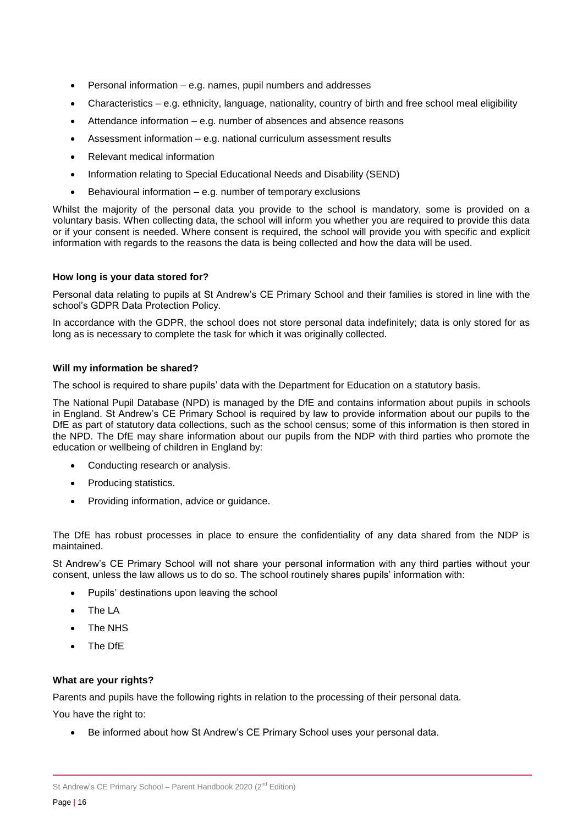- Personal information e.g. names, pupil numbers and addresses
- Characteristics e.g. ethnicity, language, nationality, country of birth and free school meal eligibility
- Attendance information e.g. number of absences and absence reasons
- Assessment information e.g. national curriculum assessment results
- Relevant medical information
- Information relating to Special Educational Needs and Disability (SEND)
- Behavioural information e.g. number of temporary exclusions

Whilst the majority of the personal data you provide to the school is mandatory, some is provided on a voluntary basis. When collecting data, the school will inform you whether you are required to provide this data or if your consent is needed. Where consent is required, the school will provide you with specific and explicit information with regards to the reasons the data is being collected and how the data will be used.

#### **How long is your data stored for?**

Personal data relating to pupils at St Andrew's CE Primary School and their families is stored in line with the school's GDPR Data Protection Policy.

In accordance with the GDPR, the school does not store personal data indefinitely; data is only stored for as long as is necessary to complete the task for which it was originally collected.

#### **Will my information be shared?**

The school is required to share pupils' data with the Department for Education on a statutory basis.

The National Pupil Database (NPD) is managed by the DfE and contains information about pupils in schools in England. St Andrew's CE Primary School is required by law to provide information about our pupils to the DfE as part of statutory data collections, such as the school census; some of this information is then stored in the NPD. The DfE may share information about our pupils from the NDP with third parties who promote the education or wellbeing of children in England by:

- Conducting research or analysis.
- Producing statistics.
- Providing information, advice or guidance.

The DfE has robust processes in place to ensure the confidentiality of any data shared from the NDP is maintained.

St Andrew's CE Primary School will not share your personal information with any third parties without your consent, unless the law allows us to do so. The school routinely shares pupils' information with:

- Pupils' destinations upon leaving the school
- The LA
- The NHS
- The DfE

#### **What are your rights?**

Parents and pupils have the following rights in relation to the processing of their personal data.

You have the right to:

Be informed about how St Andrew's CE Primary School uses your personal data.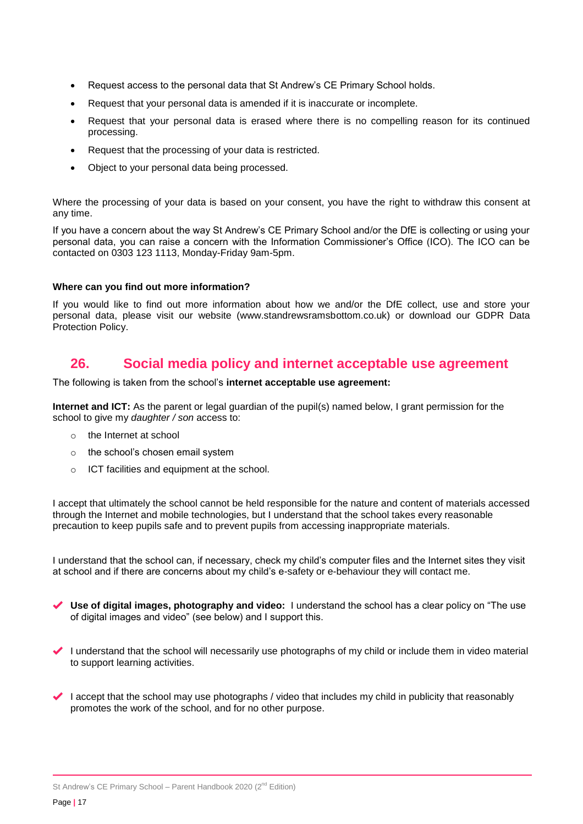- Request access to the personal data that St Andrew's CE Primary School holds.
- Request that your personal data is amended if it is inaccurate or incomplete.
- Request that your personal data is erased where there is no compelling reason for its continued processing.
- Request that the processing of your data is restricted.
- Object to your personal data being processed.

Where the processing of your data is based on your consent, you have the right to withdraw this consent at any time.

If you have a concern about the way St Andrew's CE Primary School and/or the DfE is collecting or using your personal data, you can raise a concern with the Information Commissioner's Office (ICO). The ICO can be contacted on 0303 123 1113, Monday-Friday 9am-5pm.

#### **Where can you find out more information?**

If you would like to find out more information about how we and/or the DfE collect, use and store your personal data, please visit our website (www.standrewsramsbottom.co.uk) or download our GDPR Data Protection Policy.

## **26. Social media policy and internet acceptable use agreement**

The following is taken from the school's **internet acceptable use agreement:**

**Internet and ICT:** As the parent or legal guardian of the pupil(s) named below, I grant permission for the school to give my *daughter / son* access to:

- o the Internet at school
- o the school's chosen email system
- o ICT facilities and equipment at the school.

I accept that ultimately the school cannot be held responsible for the nature and content of materials accessed through the Internet and mobile technologies, but I understand that the school takes every reasonable precaution to keep pupils safe and to prevent pupils from accessing inappropriate materials.

I understand that the school can, if necessary, check my child's computer files and the Internet sites they visit at school and if there are concerns about my child's e-safety or e-behaviour they will contact me.

- **Use of digital images, photography and video:** I understand the school has a clear policy on "The use of digital images and video" (see below) and I support this.
- I understand that the school will necessarily use photographs of my child or include them in video material to support learning activities.
- I accept that the school may use photographs / video that includes my child in publicity that reasonably promotes the work of the school, and for no other purpose.